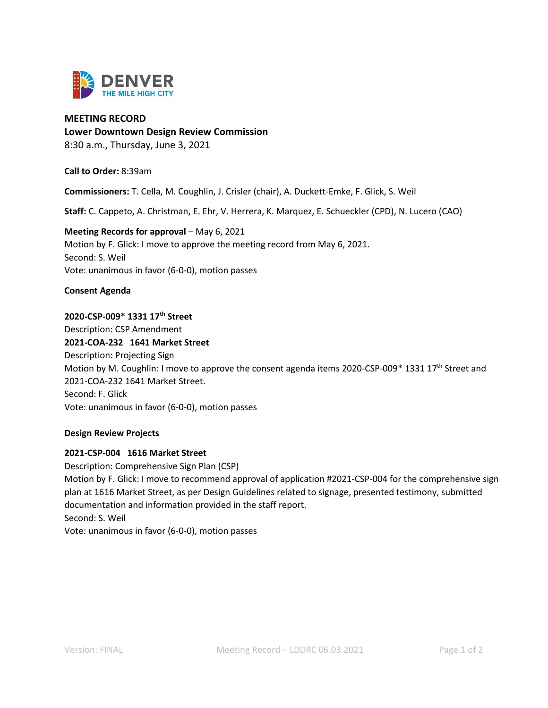

## **MEETING RECORD**

**Lower Downtown Design Review Commission**

8:30 a.m., Thursday, June 3, 2021

**Call to Order:** 8:39am

**Commissioners:** T. Cella, M. Coughlin, J. Crisler (chair), A. Duckett-Emke, F. Glick, S. Weil

**Staff:** C. Cappeto, A. Christman, E. Ehr, V. Herrera, K. Marquez, E. Schueckler (CPD), N. Lucero (CAO)

# **Meeting Records for approval – May 6, 2021** Motion by F. Glick: I move to approve the meeting record from May 6, 2021. Second: S. Weil Vote: unanimous in favor (6-0-0), motion passes

## **Consent Agenda**

## **2020-CSP-009\* 1331 17th Street**

Description: CSP Amendment **2021-COA-232 1641 Market Street** Description: Projecting Sign Motion by M. Coughlin: I move to approve the consent agenda items 2020-CSP-009\* 1331 17<sup>th</sup> Street and 2021-COA-232 1641 Market Street. Second: F. Glick Vote: unanimous in favor (6-0-0), motion passes

#### **Design Review Projects**

#### **2021-CSP-004 1616 Market Street**

Description: Comprehensive Sign Plan (CSP) Motion by F. Glick: I move to recommend approval of application #2021-CSP-004 for the comprehensive sign plan at 1616 Market Street, as per Design Guidelines related to signage, presented testimony, submitted documentation and information provided in the staff report. Second: S. Weil Vote: unanimous in favor (6-0-0), motion passes